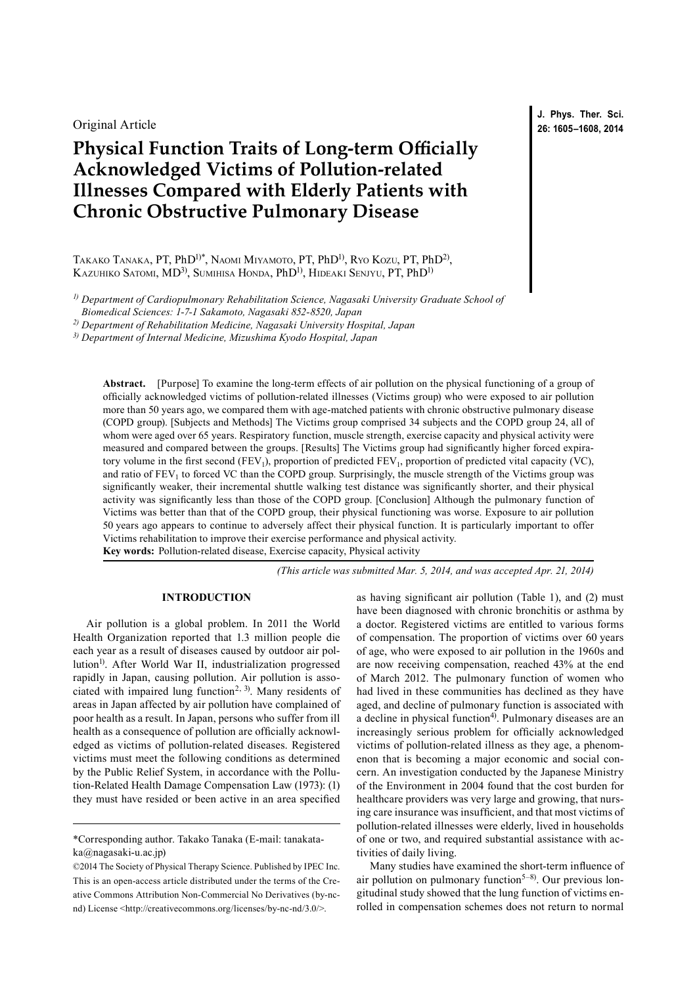Original Article

# **Physical Function Traits of Long-term Officially Acknowledged Victims of Pollution-related Illnesses Compared with Elderly Patients with Chronic Obstructive Pulmonary Disease**

Takako Tanaka, PT, PhD1)\*, Naomi Miyamoto, PT, PhD1), Ryo Kozu, PT, PhD2), KAZUHIKO SATOMI, MD<sup>3)</sup>, SUMIHISA HONDA, PhD<sup>1)</sup>, HIDEAKI SENJYU, PT, PhD<sup>1)</sup>

*1) Department of Cardiopulmonary Rehabilitation Science, Nagasaki University Graduate School of* 

*2) Department of Rehabilitation Medicine, Nagasaki University Hospital, Japan*

*3) Department of Internal Medicine, Mizushima Kyodo Hospital, Japan*

**Abstract.** [Purpose] To examine the long-term effects of air pollution on the physical functioning of a group of officially acknowledged victims of pollution-related illnesses (Victims group) who were exposed to air pollution more than 50 years ago, we compared them with age-matched patients with chronic obstructive pulmonary disease (COPD group). [Subjects and Methods] The Victims group comprised 34 subjects and the COPD group 24, all of whom were aged over 65 years. Respiratory function, muscle strength, exercise capacity and physical activity were measured and compared between the groups. [Results] The Victims group had significantly higher forced expiratory volume in the first second ( $FEV<sub>1</sub>$ ), proportion of predicted  $FEV<sub>1</sub>$ , proportion of predicted vital capacity (VC), and ratio of  $FEV<sub>1</sub>$  to forced VC than the COPD group. Surprisingly, the muscle strength of the Victims group was significantly weaker, their incremental shuttle walking test distance was significantly shorter, and their physical activity was significantly less than those of the COPD group. [Conclusion] Although the pulmonary function of Victims was better than that of the COPD group, their physical functioning was worse. Exposure to air pollution 50 years ago appears to continue to adversely affect their physical function. It is particularly important to offer Victims rehabilitation to improve their exercise performance and physical activity. **Key words:** Pollution-related disease, Exercise capacity, Physical activity

*(This article was submitted Mar. 5, 2014, and was accepted Apr. 21, 2014)*

# **INTRODUCTION**

Air pollution is a global problem. In 2011 the World Health Organization reported that 1.3 million people die each year as a result of diseases caused by outdoor air pollution<sup>1)</sup>. After World War II, industrialization progressed rapidly in Japan, causing pollution. Air pollution is asso-ciated with impaired lung function<sup>[2, 3](#page-3-1))</sup>. Many residents of areas in Japan affected by air pollution have complained of poor health as a result. In Japan, persons who suffer from ill health as a consequence of pollution are officially acknowledged as victims of pollution-related diseases. Registered victims must meet the following conditions as determined by the Public Relief System, in accordance with the Pollution-Related Health Damage Compensation Law (1973): (1) they must have resided or been active in an area specified

as having significant air pollution (Table 1), and (2) must have been diagnosed with chronic bronchitis or asthma by a doctor. Registered victims are entitled to various forms of compensation. The proportion of victims over 60 years of age, who were exposed to air pollution in the 1960s and are now receiving compensation, reached 43% at the end of March 2012. The pulmonary function of women who had lived in these communities has declined as they have aged, and decline of pulmonary function is associated with a decline in physical function<sup>[4](#page-3-2))</sup>. Pulmonary diseases are an increasingly serious problem for officially acknowledged victims of pollution-related illness as they age, a phenomenon that is becoming a major economic and social concern. An investigation conducted by the Japanese Ministry of the Environment in 2004 found that the cost burden for healthcare providers was very large and growing, that nursing care insurance was insufficient, and that most victims of pollution-related illnesses were elderly, lived in households of one or two, and required substantial assistance with activities of daily living.

Many studies have examined the short-term influence of air pollution on pulmonary function<sup>5-8)</sup>. Our previous longitudinal study showed that the lung function of victims enrolled in compensation schemes does not return to normal

**J. Phys. Ther. Sci. 26: 1605–1608, 2014**

*Biomedical Sciences: 1-7-1 Sakamoto, Nagasaki 852-8520, Japan*

<sup>\*</sup>Corresponding author. Takako Tanaka (E-mail: tanakataka@nagasaki-u.ac.jp)

<sup>©2014</sup> The Society of Physical Therapy Science. Published by IPEC Inc. This is an open-access article distributed under the terms of the Creative Commons Attribution Non-Commercial No Derivatives (by-ncnd) License [<http://creativecommons.org/licenses/by-nc-nd/3.0/>](http://creativecommons.org/licenses/by-nc-nd/3.0/).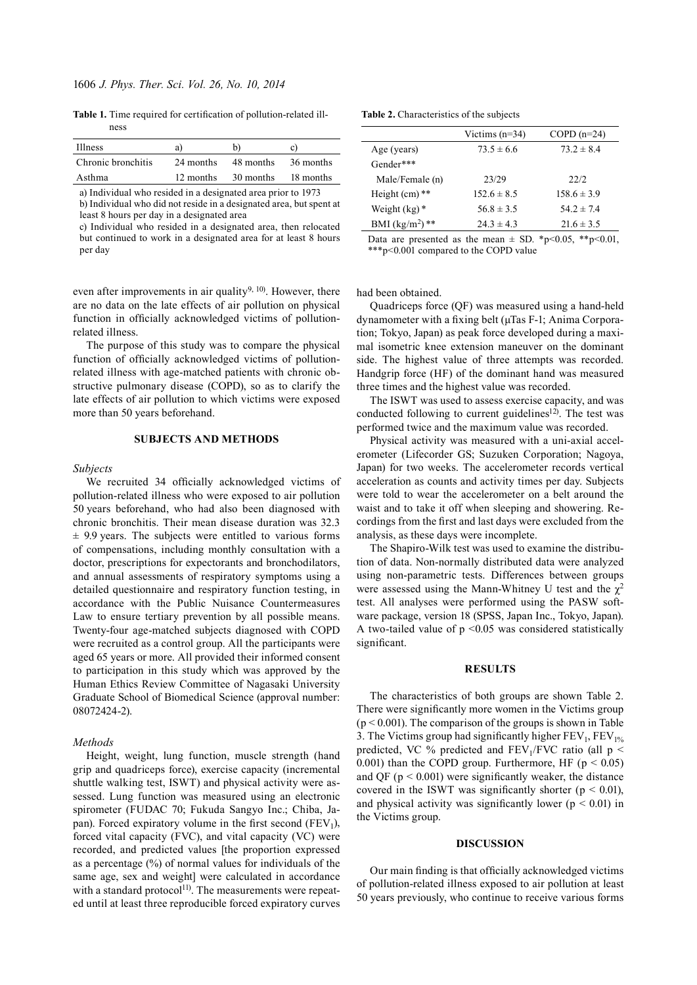**Table 1.** Time required for certification of pollution-related illness

| Illness            | a)        | b)        | C)        |
|--------------------|-----------|-----------|-----------|
| Chronic bronchitis | 24 months | 48 months | 36 months |
| Asthma             | 12 months | 30 months | 18 months |

a) Individual who resided in a designated area prior to 1973 b) Individual who did not reside in a designated area, but spent at least 8 hours per day in a designated area

c) Individual who resided in a designated area, then relocated but continued to work in a designated area for at least 8 hours per day

even after improvements in air quality<sup>[9, 10](#page-3-4)</sup>. However, there are no data on the late effects of air pollution on physical function in officially acknowledged victims of pollutionrelated illness.

The purpose of this study was to compare the physical function of officially acknowledged victims of pollutionrelated illness with age-matched patients with chronic obstructive pulmonary disease (COPD), so as to clarify the late effects of air pollution to which victims were exposed more than 50 years beforehand.

## **SUBJECTS AND METHODS**

#### *Subjects*

We recruited 34 officially acknowledged victims of pollution-related illness who were exposed to air pollution 50 years beforehand, who had also been diagnosed with chronic bronchitis. Their mean disease duration was 32.3  $\pm$  9.9 years. The subjects were entitled to various forms of compensations, including monthly consultation with a doctor, prescriptions for expectorants and bronchodilators, and annual assessments of respiratory symptoms using a detailed questionnaire and respiratory function testing, in accordance with the Public Nuisance Countermeasures Law to ensure tertiary prevention by all possible means. Twenty-four age-matched subjects diagnosed with COPD were recruited as a control group. All the participants were aged 65 years or more. All provided their informed consent to participation in this study which was approved by the Human Ethics Review Committee of Nagasaki University Graduate School of Biomedical Science (approval number: 08072424-2).

## *Methods*

Height, weight, lung function, muscle strength (hand grip and quadriceps force), exercise capacity (incremental shuttle walking test, ISWT) and physical activity were assessed. Lung function was measured using an electronic spirometer (FUDAC 70; Fukuda Sangyo Inc.; Chiba, Japan). Forced expiratory volume in the first second  $(FEV_1)$ , forced vital capacity (FVC), and vital capacity (VC) were recorded, and predicted values [the proportion expressed as a percentage (%) of normal values for individuals of the same age, sex and weight] were calculated in accordance with a standard protocol $^{11}$  $^{11}$  $^{11}$ . The measurements were repeated until at least three reproducible forced expiratory curves

|  | <b>Table 2.</b> Characteristics of the subjects |  |
|--|-------------------------------------------------|--|
|--|-------------------------------------------------|--|

|                   | Victims $(n=34)$ | $COPD(n=24)$    |
|-------------------|------------------|-----------------|
| Age (years)       | $73.5 \pm 6.6$   | $73.2 \pm 8.4$  |
| Gender***         |                  |                 |
| Male/Female (n)   | 23/29            | 22/2            |
| Height $(cm)**$   | $152.6 \pm 8.5$  | $158.6 \pm 3.9$ |
| Weight $(kg)^*$   | $56.8 \pm 3.5$   | 54 $2 \pm 74$   |
| BMI $(kg/m^2)$ ** | $24.3 \pm 4.3$   | $21.6 \pm 3.5$  |

Data are presented as the mean  $\pm$  SD, \*p<0.05, \*\*p<0.01, \*\*\*p<0.001 compared to the COPD value

had been obtained.

Quadriceps force (QF) was measured using a hand-held dynamometer with a fixing belt (μTas F-1; Anima Corporation; Tokyo, Japan) as peak force developed during a maximal isometric knee extension maneuver on the dominant side. The highest value of three attempts was recorded. Handgrip force (HF) of the dominant hand was measured three times and the highest value was recorded.

The ISWT was used to assess exercise capacity, and was conducted following to current guidelines<sup>[12](#page-3-6))</sup>. The test was performed twice and the maximum value was recorded.

Physical activity was measured with a uni-axial accelerometer (Lifecorder GS; Suzuken Corporation; Nagoya, Japan) for two weeks. The accelerometer records vertical acceleration as counts and activity times per day. Subjects were told to wear the accelerometer on a belt around the waist and to take it off when sleeping and showering. Recordings from the first and last days were excluded from the analysis, as these days were incomplete.

The Shapiro-Wilk test was used to examine the distribution of data. Non-normally distributed data were analyzed using non-parametric tests. Differences between groups were assessed using the Mann-Whitney U test and the  $\chi^2$ test. All analyses were performed using the PASW software package, version 18 (SPSS, Japan Inc., Tokyo, Japan). A two-tailed value of  $p \le 0.05$  was considered statistically significant.

#### **RESULTS**

The characteristics of both groups are shown Table 2. There were significantly more women in the Victims group  $(p < 0.001)$ . The comparison of the groups is shown in Table 3. The Victims group had significantly higher  $FEV_1, FEV_{1%}$ predicted, VC % predicted and  $FEV<sub>1</sub>/FVC$  ratio (all p < 0.001) than the COPD group. Furthermore, HF ( $p < 0.05$ ) and QF ( $p < 0.001$ ) were significantly weaker, the distance covered in the ISWT was significantly shorter ( $p < 0.01$ ), and physical activity was significantly lower ( $p < 0.01$ ) in the Victims group.

## **DISCUSSION**

Our main finding is that officially acknowledged victims of pollution-related illness exposed to air pollution at least 50 years previously, who continue to receive various forms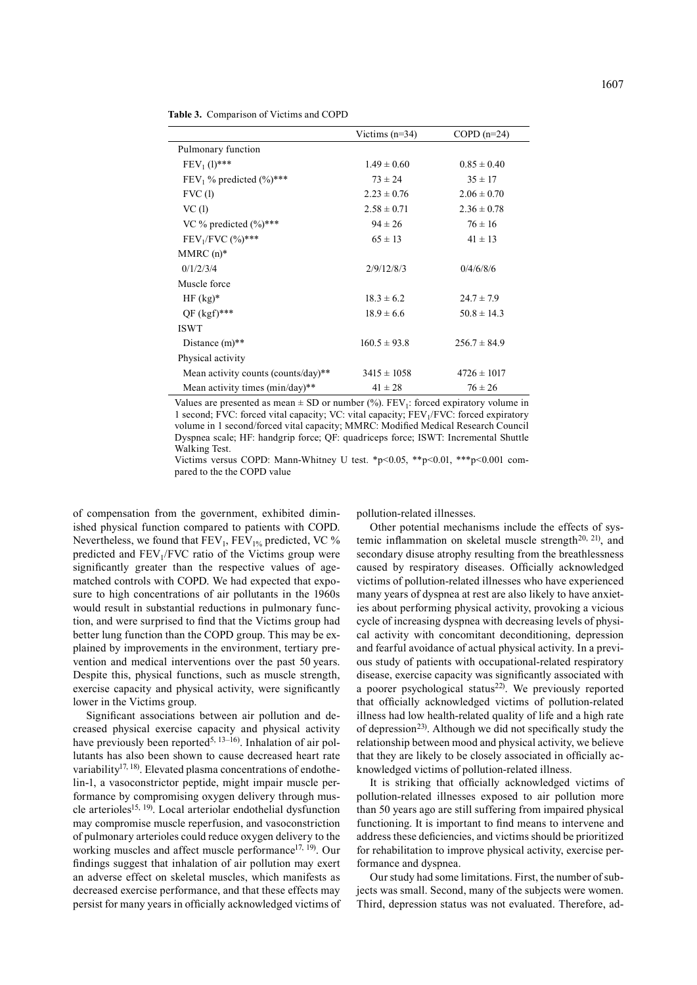|                                         | Victims $(n=34)$ | COPD $(n=24)$    |
|-----------------------------------------|------------------|------------------|
| Pulmonary function                      |                  |                  |
| $FEV_1(l)$ ***                          | $1.49 \pm 0.60$  | $0.85 \pm 0.40$  |
| FEV <sub>1</sub> % predicted $(\%)$ *** | $73 \pm 24$      | $35 \pm 17$      |
| FVC(1)                                  | $2.23 \pm 0.76$  | $2.06 \pm 0.70$  |
| VC(1)                                   | $2.58 \pm 0.71$  | $2.36 \pm 0.78$  |
| VC % predicted $(\frac{9}{6})$ ***      | $94 \pm 26$      | $76 \pm 16$      |
| $FEV1/FVC$ (%)***                       | $65 \pm 13$      | $41 \pm 13$      |
| $MMRC(n)*$                              |                  |                  |
| 0/1/2/3/4                               | 2/9/12/8/3       | 0/4/6/8/6        |
| Muscle force                            |                  |                  |
| $HF(kg)^*$                              | $18.3 \pm 6.2$   | $24.7 \pm 7.9$   |
| $QF (kgf)$ ***                          | $18.9 \pm 6.6$   | $50.8 \pm 14.3$  |
| <b>ISWT</b>                             |                  |                  |
| Distance $(m)$ **                       | $160.5 \pm 93.8$ | $256.7 \pm 84.9$ |
| Physical activity                       |                  |                  |
| Mean activity counts (counts/day)**     | $3415 \pm 1058$  | $4726 \pm 1017$  |
| Mean activity times $(min/day)**$       | $41 \pm 28$      | $76 \pm 26$      |

**Table 3.** Comparison of Victims and COPD

Values are presented as mean  $\pm$  SD or number (%). FEV<sub>1</sub>: forced expiratory volume in 1 second; FVC: forced vital capacity; VC: vital capacity; FEV1/FVC: forced expiratory volume in 1 second/forced vital capacity; MMRC: Modified Medical Research Council Dyspnea scale; HF: handgrip force; QF: quadriceps force; ISWT: Incremental Shuttle Walking Test.

Victims versus COPD: Mann-Whitney U test. \*p<0.05, \*\*p<0.01, \*\*\*p<0.001 compared to the the COPD value

of compensation from the government, exhibited diminished physical function compared to patients with COPD. Nevertheless, we found that  $FEV_1$ ,  $FEV_{1%}$  predicted, VC % predicted and  $FEV<sub>1</sub>/FVC$  ratio of the Victims group were significantly greater than the respective values of agematched controls with COPD. We had expected that exposure to high concentrations of air pollutants in the 1960s would result in substantial reductions in pulmonary function, and were surprised to find that the Victims group had better lung function than the COPD group. This may be explained by improvements in the environment, tertiary prevention and medical interventions over the past 50 years. Despite this, physical functions, such as muscle strength, exercise capacity and physical activity, were significantly lower in the Victims group.

Significant associations between air pollution and decreased physical exercise capacity and physical activity have previously been reported<sup>[5, 13–16](#page-3-3)</sup>). Inhalation of air pollutants has also been shown to cause decreased heart rate variability<sup>17, 18</sup>. Elevated plasma concentrations of endothelin-1, a vasoconstrictor peptide, might impair muscle performance by compromising oxygen delivery through mus-cle arterioles<sup>[15, 19](#page-3-8)</sup>. Local arteriolar endothelial dysfunction may compromise muscle reperfusion, and vasoconstriction of pulmonary arterioles could reduce oxygen delivery to the working muscles and affect muscle performance<sup>17, 19</sup>. Our findings suggest that inhalation of air pollution may exert an adverse effect on skeletal muscles, which manifests as decreased exercise performance, and that these effects may persist for many years in officially acknowledged victims of

pollution-related illnesses.

Other potential mechanisms include the effects of systemic inflammation on skeletal muscle strength<sup>20, 21</sup>), and secondary disuse atrophy resulting from the breathlessness caused by respiratory diseases. Officially acknowledged victims of pollution-related illnesses who have experienced many years of dyspnea at rest are also likely to have anxieties about performing physical activity, provoking a vicious cycle of increasing dyspnea with decreasing levels of physical activity with concomitant deconditioning, depression and fearful avoidance of actual physical activity. In a previous study of patients with occupational-related respiratory disease, exercise capacity was significantly associated with a poorer psychological status<sup>[22](#page-3-10))</sup>. We previously reported that officially acknowledged victims of pollution-related illness had low health-related quality of life and a high rate of depression<sup>[23\)](#page-3-11)</sup>. Although we did not specifically study the relationship between mood and physical activity, we believe that they are likely to be closely associated in officially acknowledged victims of pollution-related illness.

It is striking that officially acknowledged victims of pollution-related illnesses exposed to air pollution more than 50 years ago are still suffering from impaired physical functioning. It is important to find means to intervene and address these deficiencies, and victims should be prioritized for rehabilitation to improve physical activity, exercise performance and dyspnea.

Our study had some limitations. First, the number of subjects was small. Second, many of the subjects were women. Third, depression status was not evaluated. Therefore, ad